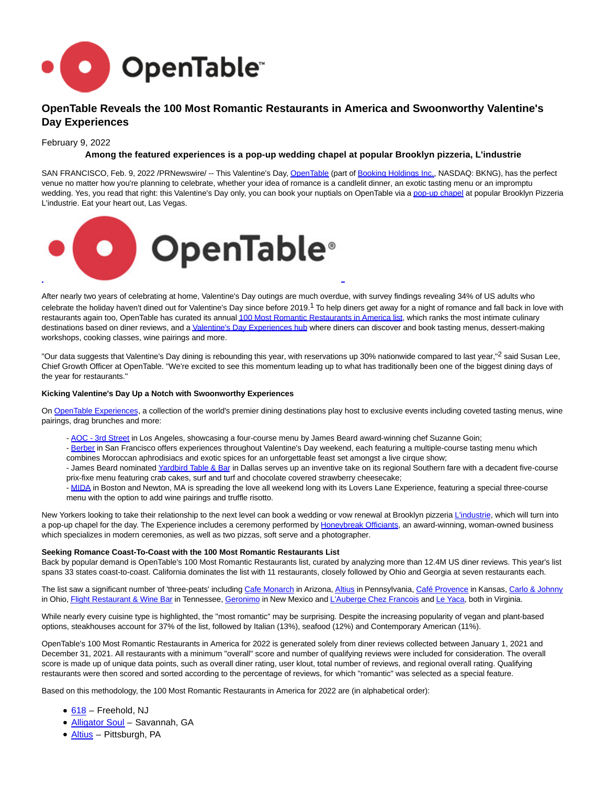

# **OpenTable Reveals the 100 Most Romantic Restaurants in America and Swoonworthy Valentine's Day Experiences**

### February 9, 2022

## **Among the featured experiences is a pop-up wedding chapel at popular Brooklyn pizzeria, L'industrie**

SAN FRANCISCO, Feb. 9, 2022 /PRNewswire/ -- This Valentine's Day[, OpenTable \(](https://c212.net/c/link/?t=0&l=en&o=3438969-1&h=2089727044&u=https%3A%2F%2Fwww.opentable.com%2F&a=OpenTable)part of [Booking Holdings Inc.,](https://c212.net/c/link/?t=0&l=en&o=3438969-1&h=1737736686&u=https%3A%2F%2Fc212.net%2Fc%2Flink%2F%3Ft%3D0%26l%3Den%26o%3D3199451-1%26h%3D1444896177%26u%3Dhttps%253A%252F%252Fwww.bookingholdings.com%252F%26a%3DBooking%2BHoldings%2BInc.&a=Booking+Holdings+Inc.) NASDAQ: BKNG), has the perfect venue no matter how you're planning to celebrate, whether your idea of romance is a candlelit dinner, an exotic tasting menu or an impromptu wedding. Yes, you read that right: this Valentine's Day only, you can book your nuptials on OpenTable via [a pop-up chapel a](https://c212.net/c/link/?t=0&l=en&o=3438969-1&h=1562181113&u=https%3A%2F%2Fwww.opentable.com%2Fr%2Flindustrie-x-honeybreaks-officients-valentines-day-pop-up-chapel-brooklyn%3Fcorrid%3Dcec57368-5dac-4906-bf9f-de5808200638%26avt%3DeyJ2IjoyLCJtIjowLCJwIjowLCJzIjowLCJuIjowfQ%26p%3D2%26sd%3D2022-02-14T19%253A00%253A00&a=pop-up+chapel)t popular Brooklyn Pizzeria L'industrie. Eat your heart out, Las Vegas.



After nearly two years of celebrating at home, Valentine's Day outings are much overdue, with survey findings revealing 34% of US adults who celebrate the holiday haven't dined out for Valentine's Day since before 2019.1 To help diners get away for a night of romance and fall back in love with restaurants again too, OpenTable has curated its annua[l 100 Most Romantic Restaurants in America list,](https://c212.net/c/link/?t=0&l=en&o=3438969-1&h=3513494841&u=https%3A%2F%2Fblog.opentable.com%2Fmost-romantic-restaurants-america-2022%2F&a=100+Most+Romantic+Restaurants+in+America+list) which ranks the most intimate culinary destinations based on diner reviews, and [a Valentine's Day Experiences hub w](https://c212.net/c/link/?t=0&l=en&o=3438969-1&h=2205272412&u=https%3A%2F%2Fwww.opentable.com%2Fexperiences&a=Valentine%27s+Day+Experiences+hub)here diners can discover and book tasting menus, dessert-making workshops, cooking classes, wine pairings and more.

"Our data suggests that Valentine's Day dining is rebounding this year, with reservations up 30% nationwide compared to last year,"<sup>2</sup> said Susan Lee, Chief Growth Officer at OpenTable. "We're excited to see this momentum leading up to what has traditionally been one of the biggest dining days of the year for restaurants."

#### **Kicking Valentine's Day Up a Notch with Swoonworthy Experiences**

On [OpenTable Experiences,](https://c212.net/c/link/?t=0&l=en&o=3438969-1&h=4175671304&u=https%3A%2F%2Fwww.opentable.com%2Fexperiences&a=OpenTable+Experiences) a collection of the world's premier dining destinations play host to exclusive events including coveted tasting menus, wine pairings, drag brunches and more:

- - [AOC 3rd Street i](https://c212.net/c/link/?t=0&l=en&o=3438969-1&h=930191956&u=https%3A%2F%2Fwww.opentable.com%2Fr%2Faoc-3rd-street-los-angeles&a=AOC+-+3rd+Street)n Los Angeles, showcasing a four-course menu by James Beard award-winning chef Suzanne Goin;
- - [Berber i](https://c212.net/c/link/?t=0&l=en&o=3438969-1&h=150611828&u=https%3A%2F%2Fwww.opentable.com%2Fr%2Fberber-san-francisco&a=Berber)n San Francisco offers experiences throughout Valentine's Day weekend, each featuring a multiple-course tasting menu which combines Moroccan aphrodisiacs and exotic spices for an unforgettable feast set amongst a live cirque show;
- James Beard nominated [Yardbird Table & Bar i](https://c212.net/c/link/?t=0&l=en&o=3438969-1&h=2559077702&u=https%3A%2F%2Fwww.opentable.com%2Fr%2Fyardbird-table-and-bar-dallas%3Fcorrid%3D7216aaaa-90ec-4d3c-83db-d7311f808236%26avt%3DeyJ2IjoyLCJtIjoxLCJwIjowLCJzIjowLCJuIjowfQ%26p%3D2%26sd%3D2022-02-14T20%253A00%253A00&a=Yardbird+Table+%26+Bar)n Dallas serves up an inventive take on its regional Southern fare with a decadent five-course prix-fixe menu featuring crab cakes, surf and turf and chocolate covered strawberry cheesecake;
- - [MIDA i](https://c212.net/c/link/?t=0&l=en&o=3438969-1&h=1187827311&u=https%3A%2F%2Fwww.opentable.com%2Fr%2Fmida-newton%3Fcorrid%3Daee8ba1b-146a-441c-bb72-8a79f1d0f99a%26avt%3DeyJ2IjoyLCJtIjowLCJwIjowLCJzIjowLCJuIjowfQ%26p%3D2%26sd%3D2022-02-14T21%253A15%253A00&a=MIDA)n Boston and Newton, MA is spreading the love all weekend long with its Lovers Lane Experience, featuring a special three-course menu with the option to add wine pairings and truffle risotto.

New Yorkers looking to take their relationship to the next level can book a wedding or vow renewal at Brooklyn pizzeri[a L'industrie,](https://c212.net/c/link/?t=0&l=en&o=3438969-1&h=3927147301&u=https%3A%2F%2Fwww.opentable.com%2Fr%2Flindustrie-x-honeybreaks-officients-valentines-day-pop-up-chapel-brooklyn%3Fcorrid%3Dcec57368-5dac-4906-bf9f-de5808200638%26avt%3DeyJ2IjoyLCJtIjowLCJwIjowLCJzIjowLCJuIjowfQ%26p%3D2%26sd%3D2022-02-14T19%253A00%253A00&a=L%27industrie) which will turn into a pop-up chapel for the day. The Experience includes a ceremony performed by [Honeybreak Officiants,](https://c212.net/c/link/?t=0&l=en&o=3438969-1&h=4021136953&u=https%3A%2F%2Fwww.honeybreakofficiants.com%2F&a=Honeybreak+Officiants) an award-winning, woman-owned business which specializes in modern ceremonies, as well as two pizzas, soft serve and a photographer.

#### **Seeking Romance Coast-To-Coast with the 100 Most Romantic Restaurants List**

Back by popular demand is OpenTable's 100 Most Romantic Restaurants list, curated by analyzing more than 12.4M US diner reviews. This year's list spans 33 states coast-to-coast. California dominates the list with 11 restaurants, closely followed by Ohio and Georgia at seven restaurants each.

The list saw a significant number of 'three-peats' including [Cafe Monarch i](https://c212.net/c/link/?t=0&l=en&o=3438969-1&h=662011265&u=https%3A%2F%2Fwww.opentable.com%2Fr%2Fcafe-monarch-scottsdale&a=Cafe+Monarch)n Arizona[, Altius i](https://c212.net/c/link/?t=0&l=en&o=3438969-1&h=3153779684&u=https%3A%2F%2Fwww.opentable.com%2Fr%2Faltius-pittsburgh&a=Altius)n Pennsylvania, [Café Provence i](https://c212.net/c/link/?t=0&l=en&o=3438969-1&h=3016630717&u=https%3A%2F%2Fwww.opentable.com%2Fcafe-provence&a=Caf%C3%A9+Provence)n Kansas, [Carlo & Johnny](https://c212.net/c/link/?t=0&l=en&o=3438969-1&h=3581872851&u=https%3A%2F%2Fwww.opentable.com%2Fcarlo-and-johnny%3Futm_source%3Dblog_restaurant_specific_pages%26utm_medium%3DCampaign%26utm_campaign%3Dpr-most-romantic&a=Carlo+%26+Johnny) in Ohio[, Flight Restaurant & Wine Bar i](https://c212.net/c/link/?t=0&l=en&o=3438969-1&h=1478772806&u=https%3A%2F%2Fwww.opentable.com%2Fflight-restaurant-and-wine-bar-memphis%3Futm_source%3Dblog_restaurant_specific_pages%26utm_medium%3DCampaign%26utm_campaign%3Dpr-most-romantic&a=Flight+Restaurant+%26+Wine+Bar)n Tennessee[, Geronimo i](https://c212.net/c/link/?t=0&l=en&o=3438969-1&h=3870164545&u=https%3A%2F%2Fwww.opentable.com%2Fgeronimo-santa-fe%3Futm_source%3Dblog_restaurant_specific_pages%26utm_medium%3DCampaign%26utm_campaign%3Dpr-most-romantic&a=Geronimo)n New Mexico an[d L'Auberge Chez Francois a](https://c212.net/c/link/?t=0&l=en&o=3438969-1&h=2277726497&u=https%3A%2F%2Fwww.opentable.com%2Flauberge-chez-francois&a=L%27Auberge+Chez+Francois)n[d Le Yaca,](https://c212.net/c/link/?t=0&l=en&o=3438969-1&h=3426239130&u=https%3A%2F%2Fwww.opentable.com%2Fr%2Fle-yaca-virginia-beach%3Futm_source%3Dblog_restaurant_specific_pages%26utm_medium%3DCampaign%26utm_campaign%3Dpr-most-romantic&a=Le+Yaca) both in Virginia.

While nearly every cuisine type is highlighted, the "most romantic" may be surprising. Despite the increasing popularity of vegan and plant-based options, steakhouses account for 37% of the list, followed by Italian (13%), seafood (12%) and Contemporary American (11%).

OpenTable's 100 Most Romantic Restaurants in America for 2022 is generated solely from diner reviews collected between January 1, 2021 and December 31, 2021. All restaurants with a minimum "overall" score and number of qualifying reviews were included for consideration. The overall score is made up of unique data points, such as overall diner rating, user klout, total number of reviews, and regional overall rating. Qualifying restaurants were then scored and sorted according to the percentage of reviews, for which "romantic" was selected as a special feature.

Based on this methodology, the 100 Most Romantic Restaurants in America for 2022 are (in alphabetical order):

- $\bullet$  [618 –](https://c212.net/c/link/?t=0&l=en&o=3438969-1&h=1266975821&u=https%3A%2F%2Fwww.opentable.com%2Fr%2F618-freehold%3Futm_source%3Dblog_restaurant_specific_pages%26utm_medium%3DCampaign%26utm_campaign%3Dpr-most-romantic&a=618) Freehold, NJ
- **Alligator Soul** Savannah, GA
- [Altius –](https://c212.net/c/link/?t=0&l=en&o=3438969-1&h=1816358477&u=https%3A%2F%2Fwww.opentable.com%2Fr%2Faltius-pittsburgh%3Futm_source%3Dblog_restaurant_specific_pages%26utm_medium%3DCampaign%26utm_campaign%3Dpr-most-romantic&a=Altius) Pittsburgh, PA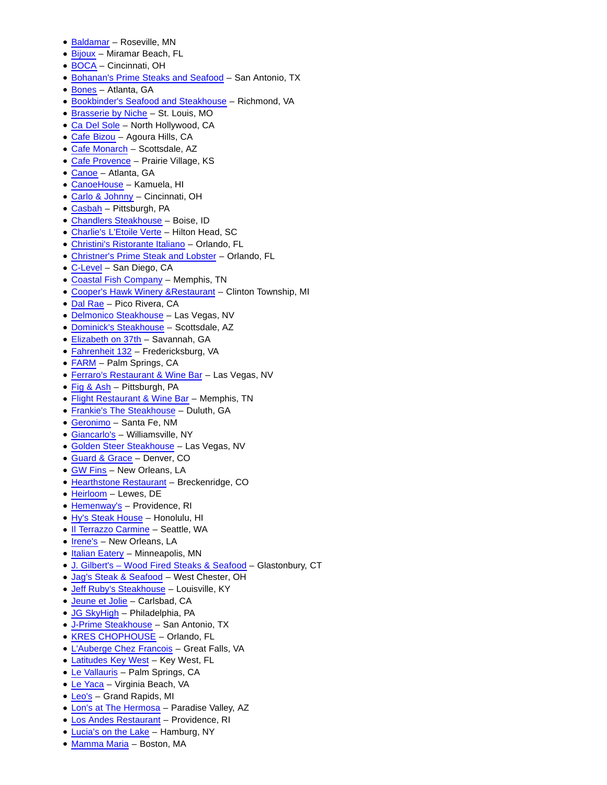- [Baldamar –](https://c212.net/c/link/?t=0&l=en&o=3438969-1&h=3715955127&u=https%3A%2F%2Fwww.opentable.com%2Fr%2Fbaldamar-roseville%3Futm_source%3Dblog_restaurant_specific_pages%26utm_medium%3DCampaign%26utm_campaign%3Dpr-most-romantic&a=Baldamar) Roseville, MN
- [Bijoux –](https://c212.net/c/link/?t=0&l=en&o=3438969-1&h=3559713406&u=https%3A%2F%2Fwww.opentable.com%2Fr%2Fbijoux-miramar-beach%3Futm_source%3Dblog_restaurant_specific_pages%26utm_medium%3DCampaign%26utm_campaign%3Dpr-most-romantic&a=Bijoux) Miramar Beach, FL
- [BOCA](https://c212.net/c/link/?t=0&l=en&o=3438969-1&h=1204095980&u=https%3A%2F%2Fwww.opentable.com%2Fboca-restaurant-cincinnati%3Futm_source%3Dblog_restaurant_specific_pages%26utm_medium%3DCampaign%26utm_campaign%3Dpr-most-romantic&a=BOCA)  Cincinnati, OH
- [Bohanan's Prime Steaks and Seafood –](https://c212.net/c/link/?t=0&l=en&o=3438969-1&h=1436975075&u=https%3A%2F%2Fwww.opentable.com%2Fbohanans-prime-steaks-and-seafood%3Futm_source%3Dblog_restaurant_specific_pages%26utm_medium%3DCampaign%26utm_campaign%3Dpr-most-romantic&a=Bohanan%27s+Prime+Steaks+and+Seafood) San Antonio, TX
- [Bones](https://c212.net/c/link/?t=0&l=en&o=3438969-1&h=3027379760&u=https%3A%2F%2Fwww.opentable.com%2Fr%2Fbones-atlanta%3Futm_source%3Dblog_restaurant_specific_pages%26utm_medium%3DCampaign%26utm_campaign%3Dpr-most-romantic&a=Bones)  Atlanta, GA
- [Bookbinder's Seafood and Steakhouse –](https://c212.net/c/link/?t=0&l=en&o=3438969-1&h=2247922571&u=https%3A%2F%2Fwww.opentable.com%2Fbookbinders-seafood-and-steakhouse%3Futm_source%3Dblog_restaurant_specific_pages%26utm_medium%3DCampaign%26utm_campaign%3Dpr-most-romantic&a=Bookbinder%27s+Seafood+and+Steakhouse) Richmond, VA
- [Brasserie by Niche –](https://c212.net/c/link/?t=0&l=en&o=3438969-1&h=3095039178&u=https%3A%2F%2Fwww.opentable.com%2Fr%2Fbrasserie-by-niche-st-louis%3Futm_source%3Dblog_restaurant_specific_pages%26utm_medium%3DCampaign%26utm_campaign%3Dpr-most-romantic&a=Brasserie+by+Niche) St. Louis, MO
- Ca Del Sole North Hollywood, CA
- [Cafe Bizou –](https://c212.net/c/link/?t=0&l=en&o=3438969-1&h=2950442207&u=https%3A%2F%2Fwww.opentable.com%2Fr%2Fcafe-bizou-agoura-hills%3Futm_source%3Dblog_restaurant_specific_pages%26utm_medium%3DCampaign%26utm_campaign%3Dpr-most-romantic&a=Cafe+Bizou) Agoura Hills, CA
- [Cafe Monarch –](https://c212.net/c/link/?t=0&l=en&o=3438969-1&h=2136545882&u=https%3A%2F%2Fwww.opentable.com%2Fr%2Fcafe-monarch-scottsdale%3Futm_source%3Dblog_restaurant_specific_pages%26utm_medium%3DCampaign%26utm_campaign%3Dpr-most-romantic&a=Cafe+Monarch) Scottsdale, AZ
- Cafe Provence Prairie Village, KS
- [Canoe –](https://c212.net/c/link/?t=0&l=en&o=3438969-1&h=2709726481&u=https%3A%2F%2Fwww.opentable.com%2Fcanoe%3Futm_source%3Dblog_restaurant_specific_pages%26utm_medium%3DCampaign%26utm_campaign%3Dpr-most-romantic&a=Canoe) Atlanta, GA
- [CanoeHouse –](https://c212.net/c/link/?t=0&l=en&o=3438969-1&h=2581208216&u=https%3A%2F%2Fwww.opentable.com%2Fr%2Fcanoehouse-kamuela%3Futm_source%3Dblog_restaurant_specific_pages%26utm_medium%3DCampaign%26utm_campaign%3Dpr-most-romantic&a=CanoeHouse) Kamuela, HI
- [Carlo & Johnny –](https://c212.net/c/link/?t=0&l=en&o=3438969-1&h=3581872851&u=https%3A%2F%2Fwww.opentable.com%2Fcarlo-and-johnny%3Futm_source%3Dblog_restaurant_specific_pages%26utm_medium%3DCampaign%26utm_campaign%3Dpr-most-romantic&a=Carlo+%26+Johnny) Cincinnati, OH
- Casbah Pittsburgh, PA
- [Chandlers Steakhouse](https://c212.net/c/link/?t=0&l=en&o=3438969-1&h=1247434530&u=https%3A%2F%2Fwww.opentable.com%2Fr%2Fchandlers-steakhouse-boise%3Futm_source%3Dblog_restaurant_specific_pages%26utm_medium%3DCampaign%26utm_campaign%3Dpr-most-romantic&a=Chandlers+Steakhouse)  Boise, ID
- [Charlie's L'Etoile Verte –](https://c212.net/c/link/?t=0&l=en&o=3438969-1&h=928326142&u=https%3A%2F%2Fwww.opentable.com%2Fr%2Fcharlies-letoile-verte-hilton-head%3Futm_source%3Dblog_restaurant_specific_pages%26utm_medium%3DCampaign%26utm_campaign%3Dpr-most-romantic&a=Charlie%27s+L%27Etoile+Verte) Hilton Head, SC
- [Christini's Ristorante Italiano –](https://c212.net/c/link/?t=0&l=en&o=3438969-1&h=1560049122&u=https%3A%2F%2Fwww.opentable.com%2Fchristinis-ristorante-italiano%3Futm_source%3Dblog_restaurant_specific_pages%26utm_medium%3DCampaign%26utm_campaign%3Dpr-most-romantic&a=Christini%27s+Ristorante+Italiano) Orlando, FL
- [Christner's Prime Steak and Lobster](https://c212.net/c/link/?t=0&l=en&o=3438969-1&h=1058531230&u=https%3A%2F%2Fwww.opentable.com%2Fchristners-prime-steak-and-lobster%3Futm_source%3Dblog_restaurant_specific_pages%26utm_medium%3DCampaign%26utm_campaign%3Dpr-most-romantic&a=Christner%27s+Prime+Steak+and+Lobster)  Orlando, FL
- [C-Level –](https://c212.net/c/link/?t=0&l=en&o=3438969-1&h=1867548349&u=https%3A%2F%2Fwww.opentable.com%2Fr%2Fc-level-san-diego%3Futm_source%3Dblog_restaurant_specific_pages%26utm_medium%3DCampaign%26utm_campaign%3Dpr-most-romantic&a=C-Level) San Diego, CA
- [Coastal Fish Company –](https://c212.net/c/link/?t=0&l=en&o=3438969-1&h=320808245&u=https%3A%2F%2Fwww.opentable.com%2Fr%2Fcoastal-fish-company-cordova%3Futm_source%3Dblog_restaurant_specific_pages%26utm_medium%3DCampaign%26utm_campaign%3Dpr-most-romantic&a=Coastal+Fish+Company) Memphis, TN
- [Cooper's Hawk Winery &Restaurant](https://c212.net/c/link/?t=0&l=en&o=3438969-1&h=2465259876&u=https%3A%2F%2Fwww.opentable.com%2Fr%2Fcoopers-hawk-winery-and-restaurant-clinton-township%3Futm_source%3Dblog_restaurant_specific_pages%26utm_medium%3DCampaign%26utm_campaign%3Dpr-most-romantic&a=Cooper%27s+Hawk+Winery+%26Restaurant)  Clinton Township, MI
- [Dal Rae –](https://c212.net/c/link/?t=0&l=en&o=3438969-1&h=2768574444&u=https%3A%2F%2Fwww.opentable.com%2Fdal-rae%3Futm_source%3Dblog_restaurant_specific_pages%26utm_medium%3DCampaign%26utm_campaign%3Dpr-most-romantic&a=Dal+Rae) Pico Rivera, CA
- [Delmonico Steakhouse –](https://c212.net/c/link/?t=0&l=en&o=3438969-1&h=2107305567&u=https%3A%2F%2Fwww.opentable.com%2Fdelmonico-steakhouse%3Futm_source%3Dblog_restaurant_specific_pages%26utm_medium%3DCampaign%26utm_campaign%3Dpr-most-romantic&a=Delmonico+Steakhouse) Las Vegas, NV
- [Dominick's Steakhouse –](https://c212.net/c/link/?t=0&l=en&o=3438969-1&h=4032054306&u=https%3A%2F%2Fwww.opentable.com%2Fdominicks-steakhouse%3Futm_source%3Dblog_restaurant_specific_pages%26utm_medium%3DCampaign%26utm_campaign%3Dpr-most-romantic&a=Dominick%27s+Steakhouse) Scottsdale, AZ
- [Elizabeth on 37th –](https://c212.net/c/link/?t=0&l=en&o=3438969-1&h=4152853774&u=https%3A%2F%2Fwww.opentable.com%2Felizabeth-on-37th%3Futm_source%3Dblog_restaurant_specific_pages%26utm_medium%3DCampaign%26utm_campaign%3Dpr-most-romantic&a=Elizabeth+on+37th) Savannah, GA
- [Fahrenheit 132 –](https://c212.net/c/link/?t=0&l=en&o=3438969-1&h=3928083007&u=https%3A%2F%2Fwww.opentable.com%2Ffahrenheit-132%3Futm_source%3Dblog_restaurant_specific_pages%26utm_medium%3DCampaign%26utm_campaign%3Dpr-most-romantic&a=Fahrenheit+132) Fredericksburg, VA
- [FARM –](https://c212.net/c/link/?t=0&l=en&o=3438969-1&h=415493669&u=https%3A%2F%2Fwww.opentable.com%2Fr%2Ffarm-palm-springs%3Futm_source%3Dblog_restaurant_specific_pages%26utm_medium%3DCampaign%26utm_campaign%3Dpr-most-romantic&a=FARM) Palm Springs, CA
- [Ferraro's Restaurant & Wine Bar](https://c212.net/c/link/?t=0&l=en&o=3438969-1&h=654900148&u=https%3A%2F%2Fwww.opentable.com%2Fr%2Fferraros-restaurant-and-wine-bar-las-vegas%3Futm_source%3Dblog_restaurant_specific_pages%26utm_medium%3DCampaign%26utm_campaign%3Dpr-most-romantic&a=Ferraro%27s+Restaurant+%26+Wine+Bar)  Las Vegas, NV
- [Fig & Ash –](https://c212.net/c/link/?t=0&l=en&o=3438969-1&h=4289789342&u=https%3A%2F%2Fwww.opentable.com%2Fr%2Ffig-and-ash-pittsburgh%3Futm_source%3Dblog_restaurant_specific_pages%26utm_medium%3DCampaign%26utm_campaign%3Dpr-most-romantic&a=Fig+%26+Ash) Pittsburgh, PA
- [Flight Restaurant & Wine Bar –](https://c212.net/c/link/?t=0&l=en&o=3438969-1&h=1478772806&u=https%3A%2F%2Fwww.opentable.com%2Fflight-restaurant-and-wine-bar-memphis%3Futm_source%3Dblog_restaurant_specific_pages%26utm_medium%3DCampaign%26utm_campaign%3Dpr-most-romantic&a=Flight+Restaurant+%26+Wine+Bar) Memphis, TN
- [Frankie's The Steakhouse](https://c212.net/c/link/?t=0&l=en&o=3438969-1&h=2843961243&u=https%3A%2F%2Fwww.opentable.com%2Fr%2Ffrankies-the-steakhouse-duluth%3Futm_source%3Dblog_restaurant_specific_pages%26utm_medium%3DCampaign%26utm_campaign%3Dpr-most-romantic&a=Frankie%27s+The+Steakhouse)  Duluth, GA
- [Geronimo](https://c212.net/c/link/?t=0&l=en&o=3438969-1&h=3870164545&u=https%3A%2F%2Fwww.opentable.com%2Fgeronimo-santa-fe%3Futm_source%3Dblog_restaurant_specific_pages%26utm_medium%3DCampaign%26utm_campaign%3Dpr-most-romantic&a=Geronimo)  Santa Fe, NM
- Giancarlo's Williamsville, NY
- [Golden Steer Steakhouse –](https://c212.net/c/link/?t=0&l=en&o=3438969-1&h=2042261191&u=https%3A%2F%2Fwww.opentable.com%2Fgolden-steer-steakhouse%3Futm_source%3Dblog_restaurant_specific_pages%26utm_medium%3DCampaign%26utm_campaign%3Dpr-most-romantic&a=Golden+Steer+Steakhouse) Las Vegas, NV
- [Guard & Grace](https://c212.net/c/link/?t=0&l=en&o=3438969-1&h=3309134032&u=https%3A%2F%2Fwww.opentable.com%2Fguard-and-grace%3Futm_source%3Dblog_restaurant_specific_pages%26utm_medium%3DCampaign%26utm_campaign%3Dpr-most-romantic&a=Guard+%26+Grace)  Denver, CO
- [GW Fins](https://c212.net/c/link/?t=0&l=en&o=3438969-1&h=2816409088&u=https%3A%2F%2Fwww.opentable.com%2Fgw-fins%3Futm_source%3Dblog_restaurant_specific_pages%26utm_medium%3DCampaign%26utm_campaign%3Dpr-most-romantic&a=GW+Fins)  New Orleans, LA
- Hearthstone Restaurant Breckenridge, CO
- [Heirloom –](https://c212.net/c/link/?t=0&l=en&o=3438969-1&h=1409870930&u=https%3A%2F%2Fwww.opentable.com%2Fheirloom%3Futm_source%3Dblog_restaurant_specific_pages%26utm_medium%3DCampaign%26utm_campaign%3Dpr-most-romantic&a=Heirloom) Lewes, DE
- [Hemenway's](https://c212.net/c/link/?t=0&l=en&o=3438969-1&h=3353145371&u=https%3A%2F%2Fwww.opentable.com%2Fhemenways%3Futm_source%3Dblog_restaurant_specific_pages%26utm_medium%3DCampaign%26utm_campaign%3Dpr-most-romantic&a=Hemenway%27s)  Providence, RI
- [Hy's Steak House](https://c212.net/c/link/?t=0&l=en&o=3438969-1&h=896216991&u=https%3A%2F%2Fwww.opentable.com%2Fhys-steak-house-waikiki%3Futm_source%3Dblog_restaurant_specific_pages%26utm_medium%3DCampaign%26utm_campaign%3Dpr-most-romantic&a=Hy%27s+Steak+House)  Honolulu, HI
- Il Terrazzo Carmine Seattle, WA
- [Irene's –](https://c212.net/c/link/?t=0&l=en&o=3438969-1&h=334320339&u=https%3A%2F%2Fwww.opentable.com%2Firenes-cuisine-new-orleans%3Futm_source%3Dblog_restaurant_specific_pages%26utm_medium%3DCampaign%26utm_campaign%3Dpr-most-romantic&a=Irene%27s) New Orleans, LA
- Italian Eatery Minneapolis, MN
- [J. Gilbert's Wood Fired Steaks & Seafood –](https://c212.net/c/link/?t=0&l=en&o=3438969-1&h=547057308&u=https%3A%2F%2Fwww.opentable.com%2Fj-gilberts-wood-fired-steaks-and-seafood-glastonbury%3Futm_source%3Dblog_restaurant_specific_pages%26utm_medium%3DCampaign%26utm_campaign%3Dpr-most-romantic&a=J.+Gilbert%27s+%E2%80%93+Wood+Fired+Steaks+%26+Seafood) Glastonbury, CT
- [Jag's Steak & Seafood](https://c212.net/c/link/?t=0&l=en&o=3438969-1&h=1935871822&u=https%3A%2F%2Fwww.opentable.com%2Fjags-steak-and-seafood%3Futm_source%3Dblog_restaurant_specific_pages%26utm_medium%3DCampaign%26utm_campaign%3Dpr-most-romantic&a=Jag%27s+Steak+%26+Seafood)  West Chester, OH
- [Jeff Ruby's Steakhouse –](https://c212.net/c/link/?t=0&l=en&o=3438969-1&h=675250285&u=https%3A%2F%2Fwww.opentable.com%2Fr%2Fjeff-rubys-louisville%3Futm_source%3Dblog_restaurant_specific_pages%26utm_medium%3DCampaign%26utm_campaign%3Dpr-most-romantic&a=Jeff+Ruby%27s+Steakhouse) Louisville, KY
- [Jeune et Jolie –](https://c212.net/c/link/?t=0&l=en&o=3438969-1&h=177630677&u=https%3A%2F%2Fwww.opentable.com%2Fr%2Fjeune-et-jolie-san-diego%3Futm_source%3Dblog_restaurant_specific_pages%26utm_medium%3DCampaign%26utm_campaign%3Dpr-most-romantic&a=Jeune+et+Jolie) Carlsbad, CA
- JG SkyHigh Philadelphia, PA
- [J-Prime Steakhouse](https://c212.net/c/link/?t=0&l=en&o=3438969-1&h=718252467&u=https%3A%2F%2Fwww.opentable.com%2Fr%2Fj-prime-steakhouse-san-antonio%3Futm_source%3Dblog_restaurant_specific_pages%26utm_medium%3DCampaign%26utm_campaign%3Dpr-most-romantic&a=J-Prime+Steakhouse)  San Antonio, TX
- [KRES CHOPHOUSE](https://c212.net/c/link/?t=0&l=en&o=3438969-1&h=3816296773&u=https%3A%2F%2Fwww.opentable.com%2Fkres-chophouse%3Futm_source%3Dblog_restaurant_specific_pages%26utm_medium%3DCampaign%26utm_campaign%3Dpr-most-romantic&a=KRES+CHOPHOUSE)  Orlando, FL
- [L'Auberge Chez](https://c212.net/c/link/?t=0&l=en&o=3438969-1&h=2983031054&u=https%3A%2F%2Fwww.opentable.com%2Flauberge-chez-francois%3Futm_source%3Dblog_restaurant_specific_pages%26utm_medium%3DCampaign%26utm_campaign%3Dpr-most-romantic&a=L%27Auberge+Chez+) [Francois](https://c212.net/c/link/?t=0&l=en&o=3438969-1&h=2836189163&u=https%3A%2F%2Fwww.opentable.com%2Flauberge-chez-francois%3Futm_source%3Dblog_restaurant_specific_pages%26utm_medium%3DCampaign%26utm_campaign%3Dpr-most-romantic&a=Francois)  Great Falls, VA
- [Latitudes Key West](https://c212.net/c/link/?t=0&l=en&o=3438969-1&h=4004837834&u=https%3A%2F%2Fwww.opentable.com%2Fr%2Flatitudes-key-west-fl-on-sunset-key-key-west%3Futm_source%3Dblog_restaurant_specific_pages%26utm_medium%3DCampaign%26utm_campaign%3Dpr-most-romantic&a=Latitudes+Key+West)  Key West, FL
- [Le Vallauris –](https://c212.net/c/link/?t=0&l=en&o=3438969-1&h=930897054&u=https%3A%2F%2Fwww.opentable.com%2Fle-vallauris%3Futm_source%3Dblog_restaurant_specific_pages%26utm_medium%3DCampaign%26utm_campaign%3Dpr-most-romantic&a=Le+Vallauris) Palm Springs, CA
- [Le Yaca –](https://c212.net/c/link/?t=0&l=en&o=3438969-1&h=3426239130&u=https%3A%2F%2Fwww.opentable.com%2Fr%2Fle-yaca-virginia-beach%3Futm_source%3Dblog_restaurant_specific_pages%26utm_medium%3DCampaign%26utm_campaign%3Dpr-most-romantic&a=Le+Yaca) Virginia Beach, VA
- [Leo's](https://c212.net/c/link/?t=0&l=en&o=3438969-1&h=2958682932&u=https%3A%2F%2Fwww.opentable.com%2Fr%2Fleos-grand-rapids%3Futm_source%3Dblog_restaurant_specific_pages%26utm_medium%3DCampaign%26utm_campaign%3Dpr-most-romantic&a=Leo%27s)  Grand Rapids, MI
- [Lon's at The Hermosa –](https://c212.net/c/link/?t=0&l=en&o=3438969-1&h=1882338263&u=https%3A%2F%2Fwww.opentable.com%2Flons-at-the-hermosa%3Futm_source%3Dblog_restaurant_specific_pages%26utm_medium%3DCampaign%26utm_campaign%3Dpr-most-romantic&a=Lon%27s+at+The+Hermosa) Paradise Valley, AZ
- [Los Andes Restaurant –](https://c212.net/c/link/?t=0&l=en&o=3438969-1&h=2079848550&u=https%3A%2F%2Fwww.opentable.com%2Fr%2Flos-andes-restaurant-providence%3Futm_source%3Dblog_restaurant_specific_pages%26utm_medium%3DCampaign%26utm_campaign%3Dpr-most-romantic&a=Los+Andes+Restaurant) Providence, RI
- Lucia's on the Lake Hamburg, NY
- [Mamma Maria –](https://c212.net/c/link/?t=0&l=en&o=3438969-1&h=1306962739&u=https%3A%2F%2Fwww.opentable.com%2Fmamma-maria%3Futm_source%3Dblog_restaurant_specific_pages%26utm_medium%3DCampaign%26utm_campaign%3Dpr-most-romantic&a=Mamma+Maria) Boston, MA